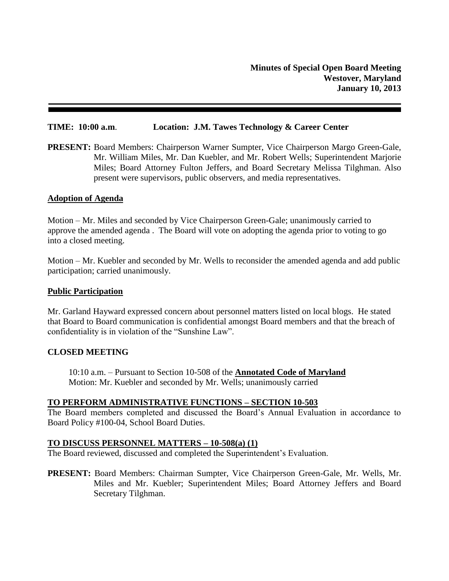#### **TIME: 10:00 a.m**. **Location: J.M. Tawes Technology & Career Center**

**PRESENT:** Board Members: Chairperson Warner Sumpter, Vice Chairperson Margo Green-Gale, Mr. William Miles, Mr. Dan Kuebler, and Mr. Robert Wells; Superintendent Marjorie Miles; Board Attorney Fulton Jeffers, and Board Secretary Melissa Tilghman. Also present were supervisors, public observers, and media representatives.

#### **Adoption of Agenda**

Motion – Mr. Miles and seconded by Vice Chairperson Green-Gale; unanimously carried to approve the amended agenda . The Board will vote on adopting the agenda prior to voting to go into a closed meeting.

Motion – Mr. Kuebler and seconded by Mr. Wells to reconsider the amended agenda and add public participation; carried unanimously.

#### **Public Participation**

Mr. Garland Hayward expressed concern about personnel matters listed on local blogs. He stated that Board to Board communication is confidential amongst Board members and that the breach of confidentiality is in violation of the "Sunshine Law".

#### **CLOSED MEETING**

10:10 a.m. – Pursuant to Section 10-508 of the **Annotated Code of Maryland** Motion: Mr. Kuebler and seconded by Mr. Wells; unanimously carried

### **TO PERFORM ADMINISTRATIVE FUNCTIONS – SECTION 10-503**

The Board members completed and discussed the Board's Annual Evaluation in accordance to Board Policy #100-04, School Board Duties.

#### **TO DISCUSS PERSONNEL MATTERS – 10-508(a) (1)**

The Board reviewed, discussed and completed the Superintendent's Evaluation.

**PRESENT:** Board Members: Chairman Sumpter, Vice Chairperson Green-Gale, Mr. Wells, Mr. Miles and Mr. Kuebler; Superintendent Miles; Board Attorney Jeffers and Board Secretary Tilghman.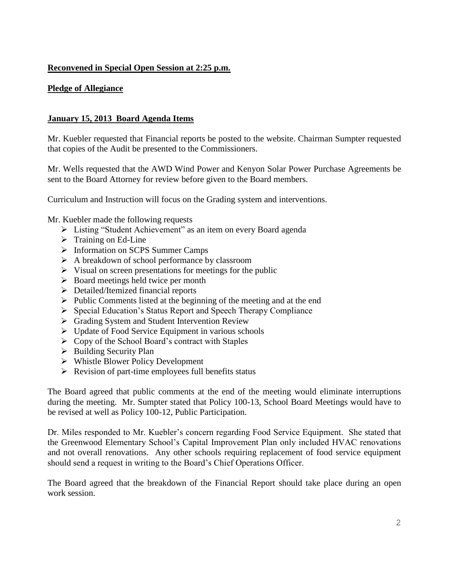# **Reconvened in Special Open Session at 2:25 p.m.**

## **Pledge of Allegiance**

## **January 15, 2013 Board Agenda Items**

Mr. Kuebler requested that Financial reports be posted to the website. Chairman Sumpter requested that copies of the Audit be presented to the Commissioners.

Mr. Wells requested that the AWD Wind Power and Kenyon Solar Power Purchase Agreements be sent to the Board Attorney for review before given to the Board members.

Curriculum and Instruction will focus on the Grading system and interventions.

Mr. Kuebler made the following requests

- Listing "Student Achievement" as an item on every Board agenda
- $\triangleright$  Training on Ed-Line
- > Information on SCPS Summer Camps
- $\triangleright$  A breakdown of school performance by classroom
- $\triangleright$  Visual on screen presentations for meetings for the public
- $\triangleright$  Board meetings held twice per month
- **Detailed/Itemized financial reports**
- $\triangleright$  Public Comments listed at the beginning of the meeting and at the end
- $\triangleright$  Special Education's Status Report and Speech Therapy Compliance
- Grading System and Student Intervention Review
- $\triangleright$  Update of Food Service Equipment in various schools
- $\triangleright$  Copy of the School Board's contract with Staples
- $\triangleright$  Building Security Plan
- $\triangleright$  Whistle Blower Policy Development
- $\triangleright$  Revision of part-time employees full benefits status

The Board agreed that public comments at the end of the meeting would eliminate interruptions during the meeting. Mr. Sumpter stated that Policy 100-13, School Board Meetings would have to be revised at well as Policy 100-12, Public Participation.

Dr. Miles responded to Mr. Kuebler's concern regarding Food Service Equipment. She stated that the Greenwood Elementary School's Capital Improvement Plan only included HVAC renovations and not overall renovations. Any other schools requiring replacement of food service equipment should send a request in writing to the Board's Chief Operations Officer.

The Board agreed that the breakdown of the Financial Report should take place during an open work session.